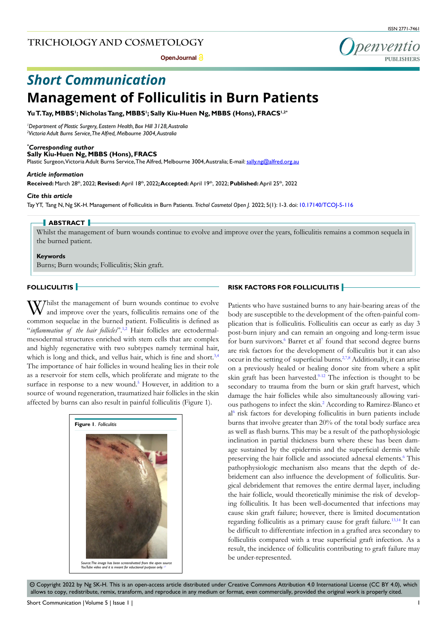**Open Journal**

penventic

# **Management of Folliculitis in Burn Patients** *Short Communication*

**Yu T. Tay, MBBS1 ; Nicholas Tang, MBBS1 ; Sally Kiu-Huen Ng, MBBS (Hons), FRACS1,2\***

*1 Department of Plastic Surgery, Eastern Health, Box Hill 3128, Australia 2 Victoria Adult Burns Service, The Alfred, Melbourne 3004, Australia*

#### *\* Corresponding author*

**Sally Kiu-Huen Ng, MBBS (Hons), FRACS** 

Plastic Surgeon, Victoria Adult Burns Service, The Alfred, Melbourne 3004, Australia; E-mail: sally.ng@alfred.org.au

#### *Article information*

**Received:** March 28th, 2022; **Revised:** April 18th, 2022**; Accepted:** April 19th, 2022; **Published:** April 25th, 2022

#### *Cite this article*

Tay YT, Tang N, Ng SK-H. Management of Folliculitis in Burn Patients. *Trichol Cosmetol Open J.* 2022; 5(1): 1-3. doi: [10.17140/TCOJ-5-116](http://dx.doi.org/10.17140/TCOJ-5-116)

## **ABSTRACT**

Whilst the management of burn wounds continue to evolve and improve over the years, folliculitis remains a common sequela in the burned patient.

#### **Keywords**

Burns; Burn wounds; Folliculitis; Skin graft.

# **FOLLICULITIS**

Whilst the management of burn wounds continue to evolve and improve over the years, folliculitis remains one of the common sequelae in the burned patient. Folliculitis is defined as "*inflammation of the hair follicles*".<sup>[1,2](#page-2-0)</sup> Hair follicles are ectodermalmesodermal structures enriched with stem cells that are complex and highly regenerative with two subtypes namely terminal hair, which is long and thick, and vellus hair, which is fine and short.<sup>[3,4](#page-2-1)</sup> The importance of hair follicles in wound healing lies in their role as a reservoir for stem cells, which proliferate and migrate to the surface in response to a new wound.<sup>[5](#page-2-2)</sup> However, in addition to a source of wound regeneration, traumatized hair follicles in the skin affected by burns can also result in painful folliculitis (Figure 1).



# **RISK FACTORS FOR FOLLICULITIS**

Patients who have sustained burns to any hair-bearing areas of the body are susceptible to the development of the often-painful complication that is folliculitis. Folliculitis can occur as early as day 3 post-burn injury and can remain an ongoing and long-term issue for burn survivors.<sup>[6](#page-2-3)</sup> Barret et al<sup>[7](#page-2-4)</sup> found that second degree burns are risk factors for the development of folliculitis but it can also occur in the setting of superficial burns.<sup>[2,](#page-2-5)7,8</sup> Additionally, it can arise on a previously healed or healing donor site from where a split skin graft has been harvested. $9-12$  The infection is thought to be secondary to trauma from the burn or skin graft harvest, which damage the hair follicles while also simultaneously allowing various pathogens to infect the skin.<sup>2</sup> According to Ramirez-Blanco et a[l6](#page-2-3) risk factors for developing folliculitis in burn patients include burns that involve greater than 20% of the total body surface area as well as flash burns. This may be a result of the pathophysiologic inclination in partial thickness burn where these has been damage sustained by the epidermis and the superficial dermis while preserving the hair follicle and associated adnexal elements.<sup>6</sup> This pathophysiologic mechanism also means that the depth of debridement can also influence the development of folliculitis. Surgical debridement that removes the entire dermal layer, including the hair follicle, would theoretically minimise the risk of developing folliculitis. It has been well-documented that infections may cause skin graft failure; however, there is limited documentation regarding folliculitis as a primary cause for graft failure.<sup>13,14</sup> It can be difficult to differentiate infection in a grafted area secondary to folliculitis compared with a true superficial graft infection. As a result, the incidence of folliculitis contributing to graft failure may be under-represented.

 $\circledcirc$  Copyright 2022 by Ng SK-H. This is an open-access article distributed under Creative Commons Attribution 4.0 International License (CC BY 4.0), which allows to copy, redistribute, remix, transform, and reproduce in any medium or format, even commercially, provided the original work is properly cited.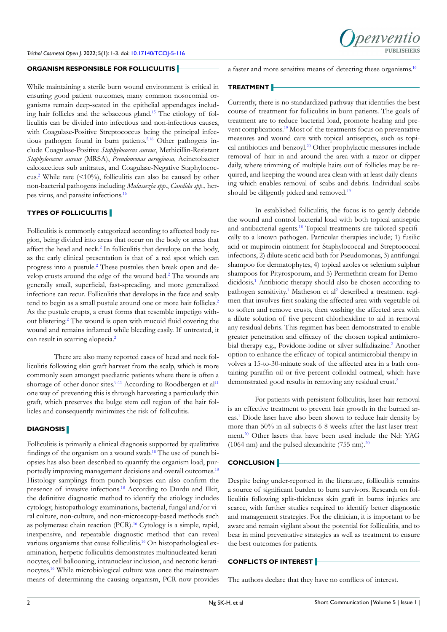

## **ORGANISM RESPONSIBLE FOR FOLLICULITIS**

While maintaining a sterile burn wound environment is critical in ensuring good patient outcomes, many common nosocomial organisms remain deep-seated in the epithelial appendages including hair follicles and the sebaceous gland[.15](#page-2-9) The etiology of folliculitis can be divided into infectious and non-infectious causes, with Coagulase-Positive Streptococcus being the principal infec-tious pathogen found in burn patients.<sup>[2,](#page-2-5)[16](#page-2-10)</sup> Other pathogens include Coagulase-Positive *Staphylococcus aureus*, Methicillin-Resistant *Staphylococcus aureus* (MRSA), *Pseudomonas aeruginosa*, Acinetobacter calcoaceticus sub anitratus, and Coagulase-Negative Staphylococ-cus.<sup>[2](#page-2-5)</sup> While rare  $($  < 10%), folliculitis can also be caused by other non-bacterial pathogens including *Malassezia spp*., *Candida spp*., herpes virus, and parasite infections.[16](#page-2-10)

## **TYPES OF FOLLICULITIS**

Folliculitis is commonly categorized according to affected body region, being divided into areas that occur on the body or areas that affect the head and neck.<sup>[2](#page-2-5)</sup> In folliculitis that develops on the body, as the early clinical presentation is that of a red spot which can progress into a pustule.<sup>[2](#page-2-5)</sup> These pustules then break open and de-velop crusts around the edge of the wound bed.<sup>[2](#page-2-5)</sup> The wounds are generally small, superficial, fast-spreading, and more generalized infections can recur. Folliculitis that develops in the face and scalp tend to begin as a small pustule around one or more hair follicles.<sup>[2](#page-2-5)</sup> As the pustule erupts, a crust forms that resemble impetigo with-out blistering.<sup>[2](#page-2-5)</sup> The wound is open with mucoid fluid covering the wound and remains inflamed while bleeding easily. If untreated, it can result in scarring alopecia.<sup>2</sup>

There are also many reported cases of head and neck folliculitis following skin graft harvest from the scalp, which is more commonly seen amongst paediatric patients where there is often a shortage of other donor sites.<sup>9-[11](#page-2-11)</sup> According to Roodbergen et al<sup>11</sup> one way of preventing this is through harvesting a particularly thin graft, which preserves the bulge stem cell region of the hair follicles and consequently minimizes the risk of folliculitis.

#### **DIAGNOSIS**

Folliculitis is primarily a clinical diagnosis supported by qualitative findings of the organism on a wound swab.[18](#page-2-12) The use of punch biopsies has also been described to quantify the organism load, purportedly improving management decisions and overall outcomes.<sup>18</sup> Histology samplings from punch biopsies can also confirm the presence of invasive infections.[18](#page-2-12) According to Durdu and Ilkit, the definitive diagnostic method to identify the etiology includes cytology, histopathology examinations, bacterial, fungal and/or viral culture, non-culture, and non-microscopy-based methods such as polymerase chain reaction (PCR)[.16](#page-2-10) Cytology is a simple, rapid, inexpensive, and repeatable diagnostic method that can reveal various organisms that cause folliculitis[.16](#page-2-10) On histopathological examination, herpetic folliculitis demonstrates multinucleated keratinocytes, cell ballooning, intranuclear inclusion, and necrotic keratinocytes[.16](#page-2-10) While microbiological culture was once the mainstream means of determining the causing organism, PCR now provides

a faster and more sensitive means of detecting these organisms.[16](#page-2-10)

# **TREATMENT**

Currently, there is no standardized pathway that identifies the best course of treatment for folliculitis in burn patients. The goals of treatment are to reduce bacterial load, promote healing and prevent complications[.19](#page-2-13) Most of the treatments focus on preventative measures and wound care with topical antiseptics, such as topical antibiotics and benzoyl.[20](#page-2-14) Other prophylactic measures include removal of hair in and around the area with a razor or clipper daily, where trimming of multiple hairs out of follicles may be required, and keeping the wound area clean with at least daily cleansing which enables removal of scabs and debris. Individual scabs should be diligently picked and removed.<sup>[19](#page-2-13)</sup>

In established folliculitis, the focus is to gently debride the wound and control bacterial load with both topical antiseptic and antibacterial agents.<sup>18</sup> Topical treatments are tailored specifically to a known pathogen. Particular therapies include; 1) fusilic acid or mupirocin ointment for Staphylococcal and Streptococcal infections, 2) dilute acetic acid bath for Pseudomonas, 3) antifungal shampoo for dermatophytes, 4) topical azoles or selenium sulphur shampoos for Pityrosporum, and 5) Permethrin cream for Demo-dicidosis.<sup>[1](#page-2-0)</sup> Antibiotic therapy should also be chosen according to pathogen sensitivity.<sup>[1](#page-2-0)</sup> Matheson et al<sup>2</sup> described a treatment regimen that involves first soaking the affected area with vegetable oil to soften and remove crusts, then washing the affected area with a dilute solution of five percent chlorhexidine to aid in removal any residual debris. This regimen has been demonstrated to enable greater penetration and efficacy of the chosen topical antimicro-bial therapy e.g., Povidone-iodine or silver sulfadiazine.<sup>[2](#page-2-5)</sup> Another option to enhance the efficacy of topical antimicrobial therapy involves a 15-to-30-minute soak of the affected area in a bath containing paraffin oil or five percent colloidal oatmeal, which have demonstrated good results in removing any residual crust.<sup>[2](#page-2-5)</sup>

For patients with persistent folliculitis, laser hair removal is an effective treatment to prevent hair growth in the burned areas[.1](#page-2-0) Diode laser have also been shown to reduce hair density by more than 50% in all subjects 6-8-weeks after the last laser treatment.[20](#page-2-14) Other lasers that have been used include the Nd: YAG (1064 nm) and the pulsed alexandrite (755 nm). $^{20}$  $^{20}$  $^{20}$ 

## **CONCLUSION**

Despite being under-reported in the literature, folliculitis remains a source of significant burden to burn survivors. Research on folliculitis following split-thickness skin graft in burns injuries are scarce, with further studies required to identify better diagnostic and management strategies. For the clinician, it is important to be aware and remain vigilant about the potential for folliculitis, and to bear in mind preventative strategies as well as treatment to ensure the best outcomes for patients.

## **CONFLICTS OF INTEREST**

The authors declare that they have no conflicts of interest.